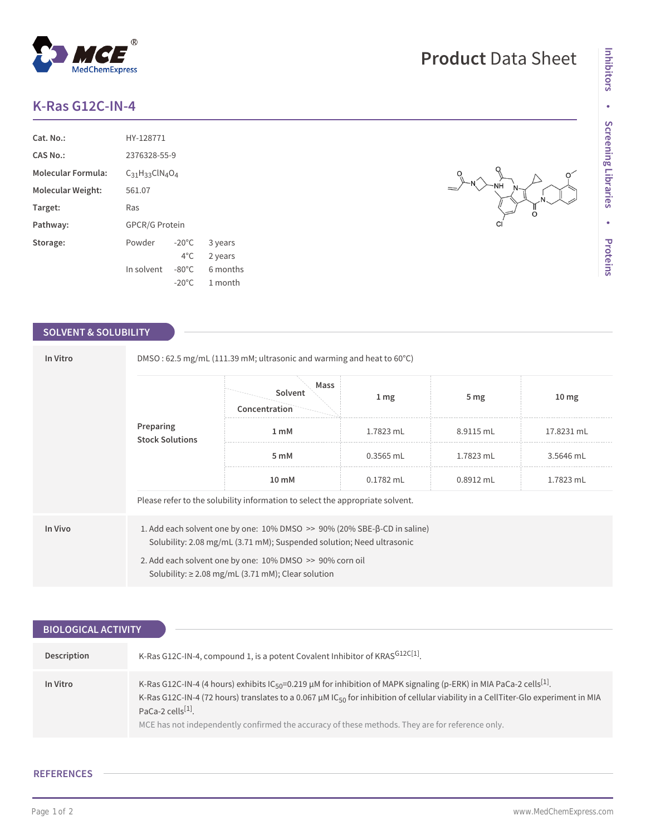# **K-Ras G12C-IN-4**

| Cat. No.:                 | HY-128771             |                 |          |  |  |
|---------------------------|-----------------------|-----------------|----------|--|--|
| CAS No.:                  | 2376328-55-9          |                 |          |  |  |
| <b>Molecular Formula:</b> | $C_{31}H_{33}ClN4O4$  |                 |          |  |  |
| Molecular Weight:         | 561.07                |                 |          |  |  |
| Target:                   | Ras                   |                 |          |  |  |
| Pathway:                  | <b>GPCR/G Protein</b> |                 |          |  |  |
| Storage:                  | Powder                | $-20^{\circ}$ C | 3 years  |  |  |
|                           |                       | $4^{\circ}$ C.  | 2 years  |  |  |
|                           | In solvent            | $-80^{\circ}$ C | 6 months |  |  |
|                           |                       | $-20^{\circ}$ C | 1 month  |  |  |

### **SOLVENT & SOLUBILITY**

| In Vitro                            | DMSO: 62.5 mg/mL (111.39 mM; ultrasonic and warming and heat to $60^{\circ}$ C)                                                                   |                                  |             |                 |                  |  |  |
|-------------------------------------|---------------------------------------------------------------------------------------------------------------------------------------------------|----------------------------------|-------------|-----------------|------------------|--|--|
| Preparing<br><b>Stock Solutions</b> |                                                                                                                                                   | Mass<br>Solvent<br>Concentration | 1 mg        | 5 <sub>mg</sub> | 10 <sub>mg</sub> |  |  |
|                                     | 1 <sub>m</sub> M                                                                                                                                  | 1.7823 mL                        | 8.9115 mL   | 17.8231 mL      |                  |  |  |
|                                     |                                                                                                                                                   | 5 mM                             | $0.3565$ mL | 1.7823 mL       | 3.5646 mL        |  |  |
|                                     |                                                                                                                                                   | 10 mM                            | $0.1782$ mL | 0.8912 mL       | 1.7823 mL        |  |  |
|                                     | Please refer to the solubility information to select the appropriate solvent.                                                                     |                                  |             |                 |                  |  |  |
| In Vivo                             | 1. Add each solvent one by one: 10% DMSO >> 90% (20% SBE-β-CD in saline)<br>Solubility: 2.08 mg/mL (3.71 mM); Suspended solution; Need ultrasonic |                                  |             |                 |                  |  |  |
|                                     | 2. Add each solvent one by one: 10% DMSO >> 90% corn oil<br>Solubility: $\geq$ 2.08 mg/mL (3.71 mM); Clear solution                               |                                  |             |                 |                  |  |  |

| <b>BIOLOGICAL ACTIVITY</b> |                                                                                                                                                                                                                                                                                                                                                                                                                                     |
|----------------------------|-------------------------------------------------------------------------------------------------------------------------------------------------------------------------------------------------------------------------------------------------------------------------------------------------------------------------------------------------------------------------------------------------------------------------------------|
|                            |                                                                                                                                                                                                                                                                                                                                                                                                                                     |
| Description                | K-Ras G12C-IN-4, compound 1, is a potent Covalent Inhibitor of KRASG12C[1].                                                                                                                                                                                                                                                                                                                                                         |
| In Vitro                   | K-Ras G12C-IN-4 (4 hours) exhibits $IC_{50} = 0.219 \mu M$ for inhibition of MAPK signaling (p-ERK) in MIA PaCa-2 cells <sup>[1]</sup> .<br>K-Ras G12C-IN-4 (72 hours) translates to a 0.067 $\mu$ M IC <sub>50</sub> for inhibition of cellular viability in a CellTiter-Glo experiment in MIA<br>PaCa-2 cells <sup>[1]</sup> .<br>MCE has not independently confirmed the accuracy of these methods. They are for reference only. |

## **REFERENCES**

NH

**CI**